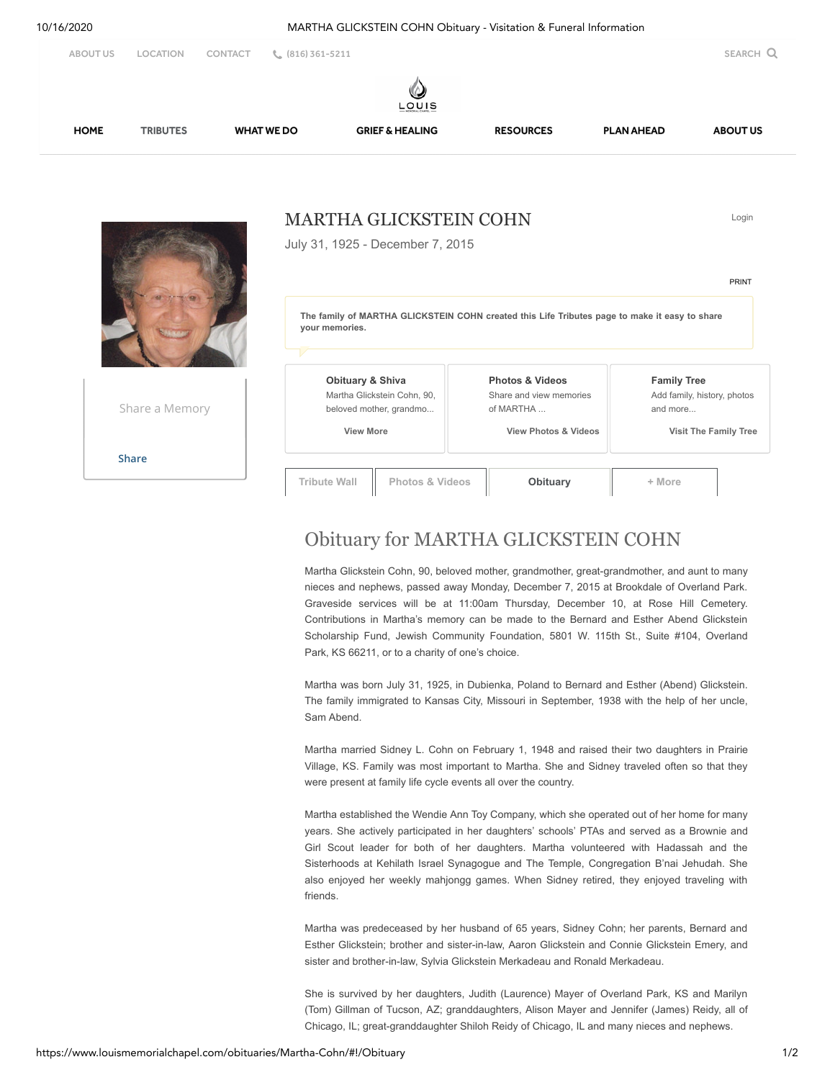

**[Share](javascript:void(0);)**

**Tribute Wall Photos & Videos [Obituary](javascript:void(0);) + More**

## Obituary for MARTHA GLICKSTEIN COHN

Martha Glickstein Cohn, 90, beloved mother, grandmother, great-grandmother, and aunt to many nieces and nephews, passed away Monday, December 7, 2015 at Brookdale of Overland Park. Graveside services will be at 11:00am Thursday, December 10, at Rose Hill Cemetery. Contributions in Martha's memory can be made to the Bernard and Esther Abend Glickstein Scholarship Fund, Jewish Community Foundation, 5801 W. 115th St., Suite #104, Overland Park, KS 66211, or to a charity of one's choice.

Martha was born July 31, 1925, in Dubienka, Poland to Bernard and Esther (Abend) Glickstein. The family immigrated to Kansas City, Missouri in September, 1938 with the help of her uncle, Sam Abend.

Martha married Sidney L. Cohn on February 1, 1948 and raised their two daughters in Prairie Village, KS. Family was most important to Martha. She and Sidney traveled often so that they were present at family life cycle events all over the country.

Martha established the Wendie Ann Toy Company, which she operated out of her home for many years. She actively participated in her daughters' schools' PTAs and served as a Brownie and Girl Scout leader for both of her daughters. Martha volunteered with Hadassah and the Sisterhoods at Kehilath Israel Synagogue and The Temple, Congregation B'nai Jehudah. She also enjoyed her weekly mahjongg games. When Sidney retired, they enjoyed traveling with friends.

Martha was predeceased by her husband of 65 years, Sidney Cohn; her parents, Bernard and Esther Glickstein; brother and sister-in-law, Aaron Glickstein and Connie Glickstein Emery, and sister and brother-in-law, Sylvia Glickstein Merkadeau and Ronald Merkadeau.

She is survived by her daughters, Judith (Laurence) Mayer of Overland Park, KS and Marilyn (Tom) Gillman of Tucson, AZ; granddaughters, Alison Mayer and Jennifer (James) Reidy, all of Chicago, IL; great-granddaughter Shiloh Reidy of Chicago, IL and many nieces and nephews.